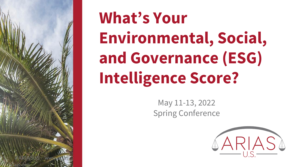

# **What's Your Environmental, Social, and Governance (ESG) Intelligence Score?**

May 11-13, 2022 Spring Conference

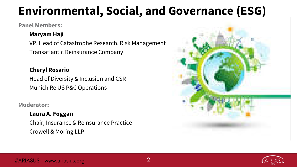# **Environmental, Social, and Governance (ESG)**

#### **Panel Members:**

#### **Maryam Haji**

VP, Head of Catastrophe Research, Risk Management Transatlantic Reinsurance Company

#### **Cheryl Rosario**

Head of Diversity & Inclusion and CSR Munich Re US P&C Operations

#### **Moderator:**

#### **Laura A. Foggan**

Chair, Insurance & Reinsurance Practice Crowell & Moring LLP



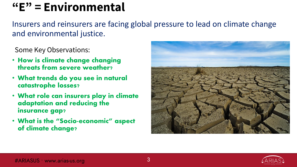# **"E" = Environmental**

Insurers and reinsurers are facing global pressure to lead on climate change and environmental justice.

Some Key Observations:

- How is climate change changing threats from severe weather?
- What trends do you see in natural catastrophe losses?
- What role can insurers play in climate adaptation and reducing the insurance gap?
- What is the "Socio-economic" aspect of climate change?



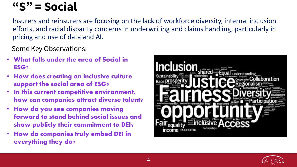### **"S" = Social**

Insurers and reinsurers are focusing on the lack of workforce diversity, internal inclusion efforts, and racial disparity concerns in underwriting and claims handling, particularly in pricing and use of data and AI.

Some Key Observations:

- What falls under the area of Social in ESG?
- How does creating an inclusive culture support the social area of ESG?
- In this current competitive environment, how can companies attract diverse talent?
- How do you see companies moving forward to stand behind social issues and show publicly their commitment to DEI?
- How do companies truly embed DEI in everything they do?



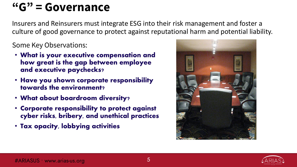### **"G" = Governance**

Insurers and Reinsurers must integrate ESG into their risk management and foster a culture of good governance to protect against reputational harm and potential liability.

Some Key Observations:

- What is your executive compensation and how great is the gap between employee and executive paychecks?
- Have you shown corporate responsibility towards the environment?
- What about boardroom diversity?
- Corporate responsibility to protect against cyber risks, bribery, and unethical practices
- Tax opacity, lobbying activities



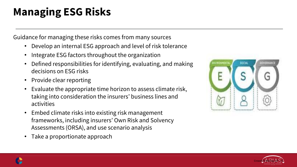# **Managing ESG Risks**

Guidance for managing these risks comes from many sources

- Develop an internal ESG approach and level of risk tolerance
- Integrate ESG factors throughout the organization
- Defined responsibilities for identifying, evaluating, and making decisions on ESG risks
- Provide clear reporting
- Evaluate the appropriate time horizon to assess climate risk, taking into consideration the insurers' business lines and activities
- Embed climate risks into existing risk management frameworks, including insurers' Own Risk and Solvency Assessments (ORSA), and use scenario analysis
- Take a proportionate approach





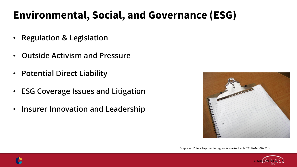### **Environmental, Social, and Governance (ESG)**

- **Regulation & Legislation**
- **Outside Activism and Pressure**
- **Potential Direct Liability**
- **ESG Coverage Issues and Litigation**
- **Insurer Innovation and Leadership**



"clipboard" by allispossible.org.uk is marked with CC BY-NC-SA 2.0.